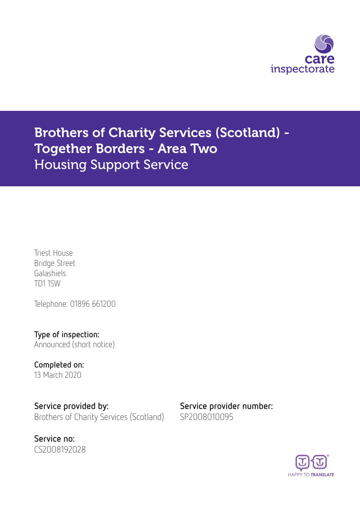

Brothers of Charity Services (Scotland) - Together Borders - Area Two Housing Support Service

Triest House Bridge Street Galashiels TD1 1SW

Telephone: 01896 661200

Type of inspection: Announced (short notice)

Completed on: 13 March 2020

Service provided by: Service provider number: Brothers of Charity Services (Scotland) SP2008010095



**HAPPY TO TRANSLATE**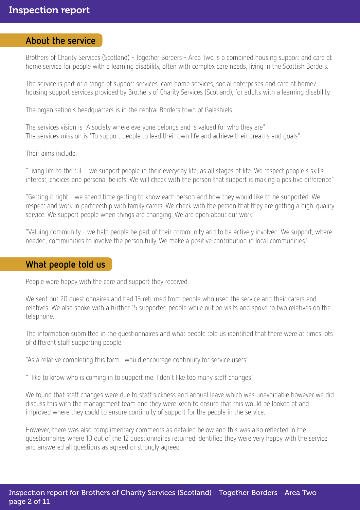## About the service

Brothers of Charity Services (Scotland) - Together Borders - Area Two is a combined housing support and care at home service for people with a learning disability, often with complex care needs, living in the Scottish Borders.

The service is part of a range of support services, care home services, social enterprises and care at home/ housing support services provided by Brothers of Charity Services (Scotland), for adults with a learning disability.

The organisation's headquarters is in the central Borders town of Galashiels.

The services vision is "A society where everyone belongs and is valued for who they are" The services mission is "To support people to lead their own life and achieve their dreams and goals"

Their aims include.

"Living life to the full - we support people in their everyday life, as all stages of life. We respect people's skills, interest, choices and personal beliefs. We will check with the person that support is making a positive difference"

"Getting it right - we spend time getting to know each person and how they would like to be supported. We respect and work in partnership with family carers. We check with the person that they are getting a high-quality service. We support people when things are changing. We are open about our work"

"Valuing community - we help people be part of their community and to be actively involved. We support, where needed, communities to involve the person fully. We make a positive contribution in local communities"

## What people told us

People were happy with the care and support they received.

We sent out 20 questionnaires and had 15 returned from people who used the service and their carers and relatives. We also spoke with a further 15 supported people while out on visits and spoke to two relatives on the telephone.

The information submitted in the questionnaires and what people told us identified that there were at times lots of different staff supporting people.

"As a relative completing this form I would encourage continuity for service users"

"I like to know who is coming in to support me. I don't like too many staff changes"

We found that staff changes were due to staff sickness and annual leave which was unavoidable however we did discuss this with the management team and they were keen to ensure that this would be looked at and improved where they could to ensure continuity of support for the people in the service.

However, there was also complimentary comments as detailed below and this was also reflected in the questionnaires where 10 out of the 12 questionnaires returned identified they were very happy with the service and answered all questions as agreed or strongly agreed.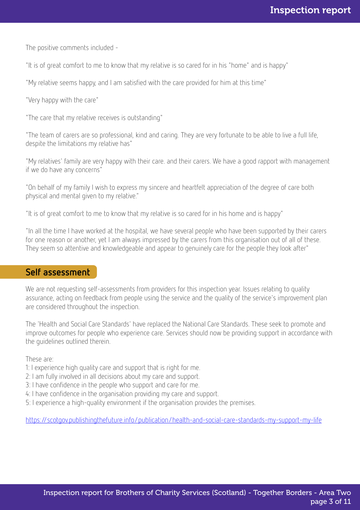The positive comments included -

"It is of great comfort to me to know that my relative is so cared for in his "home" and is happy"

"My relative seems happy, and I am satisfied with the care provided for him at this time"

"Very happy with the care"

"The care that my relative receives is outstanding"

"The team of carers are so professional, kind and caring. They are very fortunate to be able to live a full life, despite the limitations my relative has"

"My relatives' family are very happy with their care. and their carers. We have a good rapport with management if we do have any concerns"

"On behalf of my family I wish to express my sincere and heartfelt appreciation of the degree of care both physical and mental given to my relative."

"It is of great comfort to me to know that my relative is so cared for in his home and is happy"

"In all the time I have worked at the hospital, we have several people who have been supported by their carers for one reason or another, yet I am always impressed by the carers from this organisation out of all of these. They seem so attentive and knowledgeable and appear to genuinely care for the people they look after"

### Self assessment

We are not requesting self-assessments from providers for this inspection year. Issues relating to quality assurance, acting on feedback from people using the service and the quality of the service's improvement plan are considered throughout the inspection.

The 'Health and Social Care Standards' have replaced the National Care Standards. These seek to promote and improve outcomes for people who experience care. Services should now be providing support in accordance with the guidelines outlined therein.

These are:

- 1: I experience high quality care and support that is right for me.
- 2: I am fully involved in all decisions about my care and support.
- 3: I have confidence in the people who support and care for me.
- 4: I have confidence in the organisation providing my care and support.
- 5: I experience a high-quality environment if the organisation provides the premises.

<https://scotgov.publishingthefuture.info/publication/health-and-social-care-standards-my-support-my-life>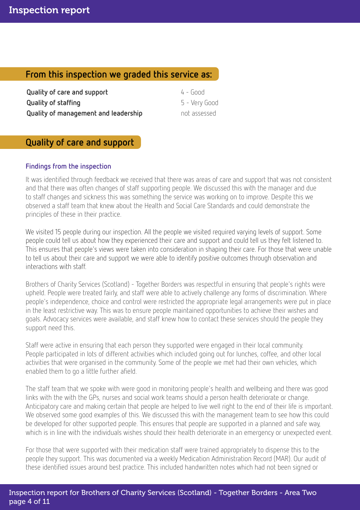## From this inspection we graded this service as:

**Quality of care and support** 4 - Good **Quality of staffing** The Company of Section 1 and Section 1 and Section 1 and Section 1 and Section 1 and Section 1 and Section 1 and Section 1 and Section 1 and Section 1 and Section 1 and Section 1 and Section 1 and Sec **Quality of management and leadership** not assessed

## Quality of care and support

### Findings from the inspection

It was identified through feedback we received that there was areas of care and support that was not consistent and that there was often changes of staff supporting people. We discussed this with the manager and due to staff changes and sickness this was something the service was working on to improve. Despite this we observed a staff team that knew about the Health and Social Care Standards and could demonstrate the principles of these in their practice.

We visited 15 people during our inspection. All the people we visited required varying levels of support. Some people could tell us about how they experienced their care and support and could tell us they felt listened to. This ensures that people's views were taken into consideration in shaping their care. For those that were unable to tell us about their care and support we were able to identify positive outcomes through observation and interactions with staff.

Brothers of Charity Services (Scotland) - Together Borders was respectful in ensuring that people's rights were upheld. People were treated fairly, and staff were able to actively challenge any forms of discrimination. Where people's independence, choice and control were restricted the appropriate legal arrangements were put in place in the least restrictive way. This was to ensure people maintained opportunities to achieve their wishes and goals. Advocacy services were available, and staff knew how to contact these services should the people they support need this.

Staff were active in ensuring that each person they supported were engaged in their local community. People participated in lots of different activities which included going out for lunches, coffee, and other local activities that were organised in the community. Some of the people we met had their own vehicles, which enabled them to go a little further afield.

The staff team that we spoke with were good in monitoring people's health and wellbeing and there was good links with the with the GPs, nurses and social work teams should a person health deteriorate or change. Anticipatory care and making certain that people are helped to live well right to the end of their life is important. We observed some good examples of this. We discussed this with the management team to see how this could be developed for other supported people. This ensures that people are supported in a planned and safe way, which is in line with the individuals wishes should their health deteriorate in an emergency or unexpected event.

For those that were supported with their medication staff were trained appropriately to dispense this to the people they support. This was documented via a weekly Medication Administration Record (MAR). Our audit of these identified issues around best practice. This included handwritten notes which had not been signed or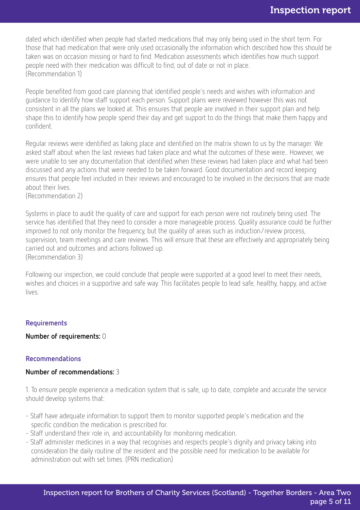dated which identified when people had started medications that may only being used in the short term. For those that had medication that were only used occasionally the information which described how this should be taken was on occasion missing or hard to find. Medication assessments which identifies how much support people need with their medication was difficult to find, out of date or not in place. (Recommendation 1)

People benefited from good care planning that identified people's needs and wishes with information and guidance to identify how staff support each person. Support plans were reviewed however this was not consistent in all the plans we looked at. This ensures that people are involved in their support plan and help shape this to identify how people spend their day and get support to do the things that make them happy and confident.

Regular reviews were identified as taking place and identified on the matrix shown to us by the manager. We asked staff about when the last reviews had taken place and what the outcomes of these were.. However, we were unable to see any documentation that identified when these reviews had taken place and what had been discussed and any actions that were needed to be taken forward. Good documentation and record keeping ensures that people feel included in their reviews and encouraged to be involved in the decisions that are made about their lives.

(Recommendation 2)

Systems in place to audit the quality of care and support for each person were not routinely being used. The service has identified that they need to consider a more manageable process. Quality assurance could be further improved to not only monitor the frequency, but the quality of areas such as induction/review process, supervision, team meetings and care reviews. This will ensure that these are effectively and appropriately being carried out and outcomes and actions followed up. (Recommendation 3)

Following our inspection, we could conclude that people were supported at a good level to meet their needs, wishes and choices in a supportive and safe way. This facilitates people to lead safe, healthy, happy, and active lives.

#### Requirements

Number of requirements: 0

#### Recommendations

#### Number of recommendations: 3

1. To ensure people experience a medication system that is safe, up to date, complete and accurate the service should develop systems that:

- Staff have adequate information to support them to monitor supported people's medication and the specific condition the medication is prescribed for.
- Staff understand their role in, and accountability for monitoring medication.
- Staff administer medicines in a way that recognises and respects people's dignity and privacy taking into consideration the daily routine of the resident and the possible need for medication to be available for administration out with set times. (PRN medication)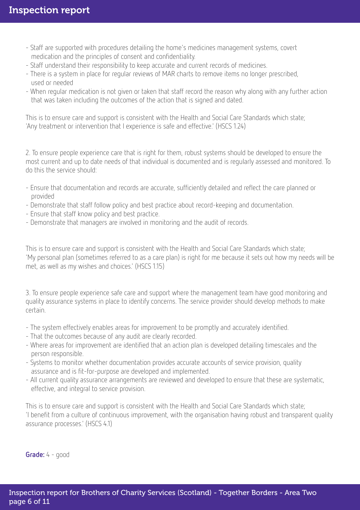- Staff are supported with procedures detailing the home's medicines management systems, covert medication and the principles of consent and confidentiality.
- Staff understand their responsibility to keep accurate and current records of medicines.
- There is a system in place for regular reviews of MAR charts to remove items no longer prescribed, used or needed
- When regular medication is not given or taken that staff record the reason why along with any further action that was taken including the outcomes of the action that is signed and dated.

This is to ensure care and support is consistent with the Health and Social Care Standards which state; 'Any treatment or intervention that I experience is safe and effective.' (HSCS 1.24)

2. To ensure people experience care that is right for them, robust systems should be developed to ensure the most current and up to date needs of that individual is documented and is regularly assessed and monitored. To do this the service should:

- Ensure that documentation and records are accurate, sufficiently detailed and reflect the care planned or provided
- Demonstrate that staff follow policy and best practice about record-keeping and documentation.
- Ensure that staff know policy and best practice.
- Demonstrate that managers are involved in monitoring and the audit of records.

This is to ensure care and support is consistent with the Health and Social Care Standards which state; 'My personal plan (sometimes referred to as a care plan) is right for me because it sets out how my needs will be met, as well as my wishes and choices.' (HSCS 1.15)

3. To ensure people experience safe care and support where the management team have good monitoring and quality assurance systems in place to identify concerns. The service provider should develop methods to make certain.

- The system effectively enables areas for improvement to be promptly and accurately identified.
- That the outcomes because of any audit are clearly recorded.
- Where areas for improvement are identified that an action plan is developed detailing timescales and the person responsible.
- Systems to monitor whether documentation provides accurate accounts of service provision, quality assurance and is fit-for-purpose are developed and implemented.
- All current quality assurance arrangements are reviewed and developed to ensure that these are systematic, effective, and integral to service provision.

This is to ensure care and support is consistent with the Health and Social Care Standards which state; 'I benefit from a culture of continuous improvement, with the organisation having robust and transparent quality assurance processes.' (HSCS 4.1)

Grade: 4 - good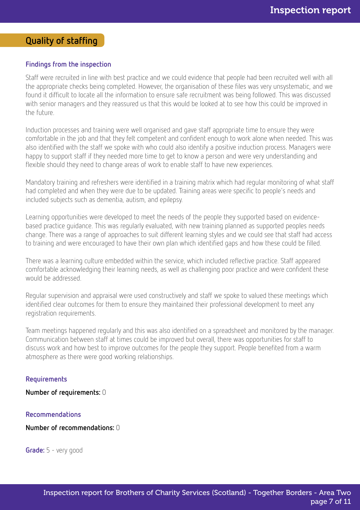# Quality of staffing

#### Findings from the inspection

Staff were recruited in line with best practice and we could evidence that people had been recruited well with all the appropriate checks being completed. However, the organisation of these files was very unsystematic, and we found it difficult to locate all the information to ensure safe recruitment was being followed. This was discussed with senior managers and they reassured us that this would be looked at to see how this could be improved in the future.

Induction processes and training were well organised and gave staff appropriate time to ensure they were comfortable in the job and that they felt competent and confident enough to work alone when needed. This was also identified with the staff we spoke with who could also identify a positive induction process. Managers were happy to support staff if they needed more time to get to know a person and were very understanding and flexible should they need to change areas of work to enable staff to have new experiences.

Mandatory training and refreshers were identified in a training matrix which had regular monitoring of what staff had completed and when they were due to be updated. Training areas were specific to people's needs and included subjects such as dementia, autism, and epilepsy.

Learning opportunities were developed to meet the needs of the people they supported based on evidencebased practice guidance. This was regularly evaluated, with new training planned as supported peoples needs change. There was a range of approaches to suit different learning styles and we could see that staff had access to training and were encouraged to have their own plan which identified gaps and how these could be filled.

There was a learning culture embedded within the service, which included reflective practice. Staff appeared comfortable acknowledging their learning needs, as well as challenging poor practice and were confident these would be addressed.

Regular supervision and appraisal were used constructively and staff we spoke to valued these meetings which identified clear outcomes for them to ensure they maintained their professional development to meet any registration requirements.

Team meetings happened regularly and this was also identified on a spreadsheet and monitored by the manager. Communication between staff at times could be improved but overall, there was opportunities for staff to discuss work and how best to improve outcomes for the people they support. People benefited from a warm atmosphere as there were good working relationships.

#### Requirements

Number of requirements: 0

#### Recommendations

Number of recommendations: 0

Grade: 5 - very good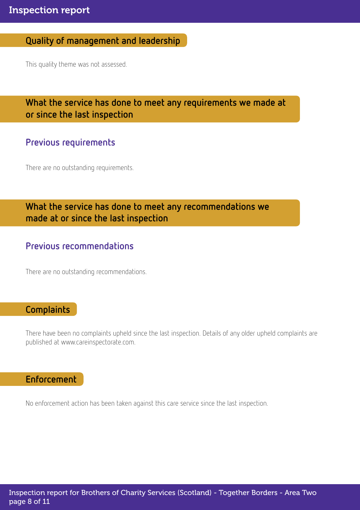# Quality of management and leadership

This quality theme was not assessed.

## What the service has done to meet any requirements we made at or since the last inspection

## Previous requirements

There are no outstanding requirements.

# What the service has done to meet any recommendations we made at or since the last inspection

## Previous recommendations

There are no outstanding recommendations.

## **Complaints**

There have been no complaints upheld since the last inspection. Details of any older upheld complaints are published at www.careinspectorate.com.

## Enforcement

No enforcement action has been taken against this care service since the last inspection.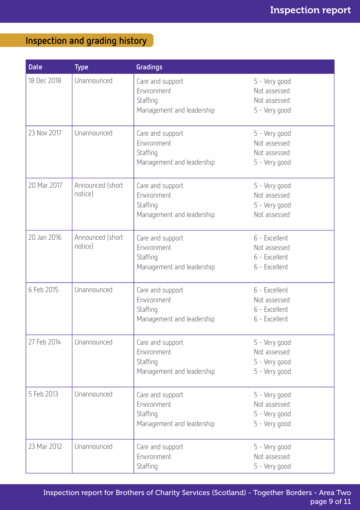# Inspection and grading history

| <b>Date</b> | <b>Type</b>                 | Gradings                                                                 |                                                                 |
|-------------|-----------------------------|--------------------------------------------------------------------------|-----------------------------------------------------------------|
| 18 Dec 2018 | Unannounced                 | Care and support<br>Environment<br>Staffing<br>Management and leadership | 5 - Very good<br>Not assessed<br>Not assessed<br>5 - Very good  |
| 23 Nov 2017 | Unannounced                 | Care and support<br>Environment<br>Staffing<br>Management and leadership | 5 - Very good<br>Not assessed<br>Not assessed<br>5 - Very good  |
| 20 Mar 2017 | Announced (short<br>notice) | Care and support<br>Environment<br>Staffing<br>Management and leadership | 5 - Very good<br>Not assessed<br>5 - Very good<br>Not assessed  |
| 20 Jan 2016 | Announced (short<br>notice) | Care and support<br>Environment<br>Staffing<br>Management and leadership | 6 - Excellent<br>Not assessed<br>6 - Excellent<br>6 - Excellent |
| 6 Feb 2015  | Unannounced                 | Care and support<br>Environment<br>Staffing<br>Management and leadership | 6 - Excellent<br>Not assessed<br>6 - Excellent<br>6 - Excellent |
| 27 Feb 2014 | Unannounced                 | Care and support<br>Environment<br>Staffing<br>Management and leadership | 5 - Very good<br>Not assessed<br>5 - Very good<br>5 - Very good |
| 5 Feb 2013  | Unannounced                 | Care and support<br>Environment<br>Staffing<br>Management and leadership | 5 - Very good<br>Not assessed<br>5 - Very good<br>5 - Very good |
| 23 Mar 2012 | Unannounced                 | Care and support<br>Environment<br>Staffing                              | 5 - Very good<br>Not assessed<br>5 - Very good                  |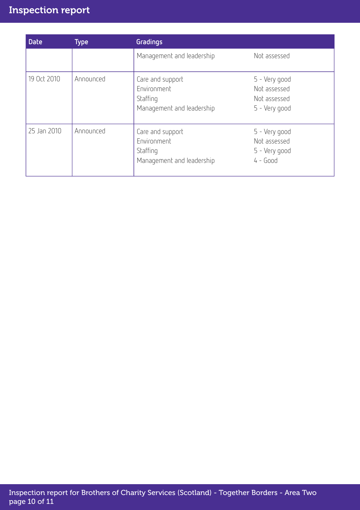# Inspection report

| <b>Date</b> | <b>Type</b> | <b>Gradings</b>                                                          |                                                                |
|-------------|-------------|--------------------------------------------------------------------------|----------------------------------------------------------------|
|             |             | Management and leadership                                                | Not assessed                                                   |
| 19 Oct 2010 | Announced   | Care and support<br>Environment<br>Staffing<br>Management and leadership | 5 - Very good<br>Not assessed<br>Not assessed<br>5 - Very good |
| 25 Jan 2010 | Announced   | Care and support<br>Environment<br>Staffing<br>Management and leadership | 5 - Very good<br>Not assessed<br>5 - Very good<br>$4 - Good$   |